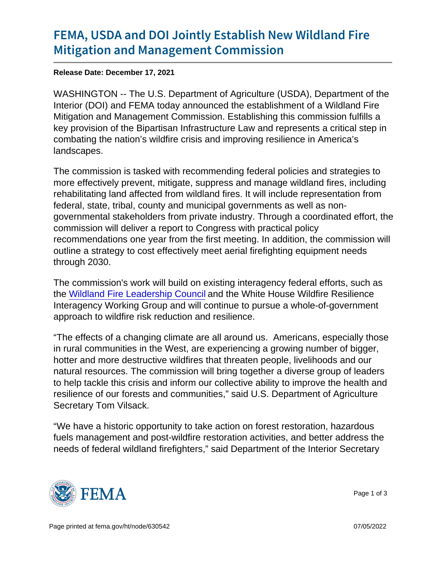## [FEMA, USDA and DOI Jointly Esta](https://www.fema.gov/press-release/20211217/fema-usda-and-doi-jointly-establish-new-wildland-fire-mitigation-and)blish Ne [Mitigation and Manageme](https://www.fema.gov/press-release/20211217/fema-usda-and-doi-jointly-establish-new-wildland-fire-mitigation-and)nt Commission

Release Date: December 17, 2021

WASHINGTON -- The U.S. Department of Agriculture (USDA), Department of the Interior (DOI) and FEMA today announced the establishment of a Wildland Fire Mitigation and Management Commission. Establishing this commission fulfills a key provision of the Bipartisan Infrastructure Law and represents a critical step in combating the nation's wildfire crisis and improving resilience in America's landscapes.

The commission is tasked with recommending federal policies and strategies to more effectively prevent, mitigate, suppress and manage wildland fires, including rehabilitating land affected from wildland fires. It will include representation from federal, state, tribal, county and municipal governments as well as nongovernmental stakeholders from private industry. Through a coordinated effort, the commission will deliver a report to Congress with practical policy recommendations one year from the first meeting. In addition, the commission will outline a strategy to cost effectively meet aerial firefighting equipment needs through 2030.

The commission's work will build on existing interagency federal efforts, such as the [Wildland Fire Leadership Council](https://www.forestsandrangelands.gov/leadership/) and the White House Wildfire Resilience Interagency Working Group and will continue to pursue a whole-of-government approach to wildfire risk reduction and resilience.

"The effects of a changing climate are all around us. Americans, especially those in rural communities in the West, are experiencing a growing number of bigger, hotter and more destructive wildfires that threaten people, livelihoods and our natural resources. The commission will bring together a diverse group of leaders to help tackle this crisis and inform our collective ability to improve the health and resilience of our forests and communities," said U.S. Department of Agriculture Secretary Tom Vilsack.

"We have a historic opportunity to take action on forest restoration, hazardous fuels management and post-wildfire restoration activities, and better address the needs of federal wildland firefighters," said Department of the Interior Secretary



Page 1 of 3

Page printed at [fema.gov/ht/node/630542](https://www.fema.gov/ht/node/630542) 07/05/2022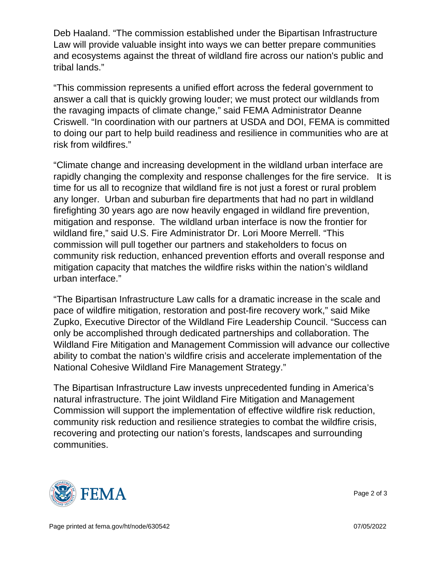Deb Haaland. "The commission established under the Bipartisan Infrastructure Law will provide valuable insight into ways we can better prepare communities and ecosystems against the threat of wildland fire across our nation's public and tribal lands."

"This commission represents a unified effort across the federal government to answer a call that is quickly growing louder; we must protect our wildlands from the ravaging impacts of climate change," said FEMA Administrator Deanne Criswell. "In coordination with our partners at USDA and DOI, FEMA is committed to doing our part to help build readiness and resilience in communities who are at risk from wildfires."

"Climate change and increasing development in the wildland urban interface are rapidly changing the complexity and response challenges for the fire service. It is time for us all to recognize that wildland fire is not just a forest or rural problem any longer. Urban and suburban fire departments that had no part in wildland firefighting 30 years ago are now heavily engaged in wildland fire prevention, mitigation and response. The wildland urban interface is now the frontier for wildland fire," said U.S. Fire Administrator Dr. Lori Moore Merrell. "This commission will pull together our partners and stakeholders to focus on community risk reduction, enhanced prevention efforts and overall response and mitigation capacity that matches the wildfire risks within the nation's wildland urban interface."

"The Bipartisan Infrastructure Law calls for a dramatic increase in the scale and pace of wildfire mitigation, restoration and post-fire recovery work," said Mike Zupko, Executive Director of the Wildland Fire Leadership Council. "Success can only be accomplished through dedicated partnerships and collaboration. The Wildland Fire Mitigation and Management Commission will advance our collective ability to combat the nation's wildfire crisis and accelerate implementation of the National Cohesive Wildland Fire Management Strategy."

The Bipartisan Infrastructure Law invests unprecedented funding in America's natural infrastructure. The joint Wildland Fire Mitigation and Management Commission will support the implementation of effective wildfire risk reduction, community risk reduction and resilience strategies to combat the wildfire crisis, recovering and protecting our nation's forests, landscapes and surrounding communities.



Page 2 of 3

Page printed at [fema.gov/ht/node/630542](https://www.fema.gov/ht/node/630542) 07/05/2022